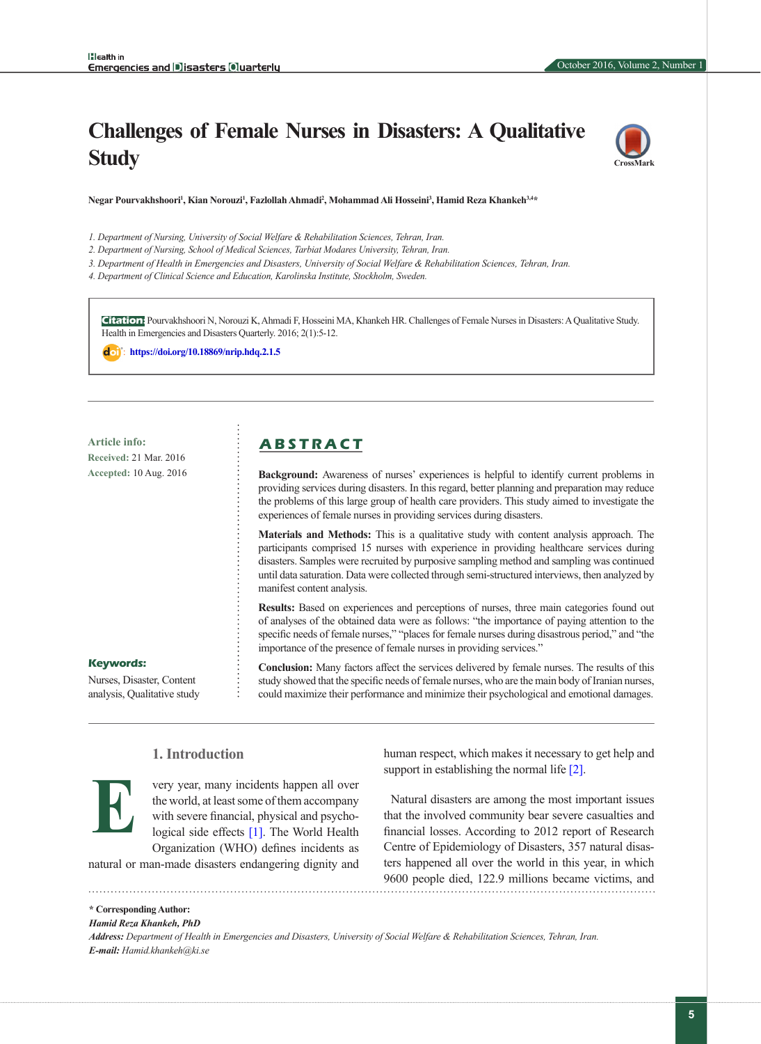# **Challenges of Female Nurses in Disasters: A Qualitative Study**



Negar Pourvakhshoori<sup>1</sup>, Kian Norouzi<sup>1</sup>, Fazlollah Ahmadi<sup>2</sup>, Mohammad Ali Hosseini<sup>3</sup>, Hamid Reza Khankeh<sup>3,4\*</sup>

*1. Department of Nursing, University of Social Welfare & Rehabilitation Sciences, Tehran, Iran.*

- *2. Department of Nursing, School of Medical Sciences, Tarbiat Modares University, Tehran, Iran.*
- *3. Department of Health in Emergencies and Disasters, University of Social Welfare & Rehabilitation Sciences, Tehran, Iran.*
- *4. Department of Clinical Science and Education, Karolinska Institute, Stockholm, Sweden.*

**Citation:** Pourvakhshoori N, Norouzi K, Ahmadi F, Hosseini MA, Khankeh HR. Challenges of Female Nurses in Disasters: A Qualitative Study. Health in Emergencies and Disasters Quarterly. 2016; 2(1):5-12.

: **<https://doi.org/10.18869/nrip.hdq.2.1.5>**

**Received:** 21 Mar. 2016 **Accepted:** 10 Aug. 2016

# **Article info: A B S T R A C T**

**Background:** Awareness of nurses' experiences is helpful to identify current problems in providing services during disasters. In this regard, better planning and preparation may reduce the problems of this large group of health care providers. This study aimed to investigate the experiences of female nurses in providing services during disasters.

**Materials and Methods:** This is a qualitative study with content analysis approach. The participants comprised 15 nurses with experience in providing healthcare services during disasters. Samples were recruited by purposive sampling method and sampling was continued until data saturation. Data were collected through semi-structured interviews, then analyzed by manifest content analysis.

**Results:** Based on experiences and perceptions of nurses, three main categories found out of analyses of the obtained data were as follows: "the importance of paying attention to the specific needs of female nurses," "places for female nurses during disastrous period," and "the importance of the presence of female nurses in providing services."

**Conclusion:** Many factors affect the services delivered by female nurses. The results of this study showed that the specific needs of female nurses, who are the main body of Iranian nurses, could maximize their performance and minimize their psychological and emotional damages.

**Keywords:**

Nurses, Disaster, Content analysis, Qualitative study

# **1. Introduction**



**\* Corresponding Author:** *Hamid Reza Khankeh, PhD*

very year, many incidents happen all over the world, at least some of them accompany with severe financial, physical and psychological side effects [\[1\].](#page-7-0) The World Health Organization (WHO) defines incidents as

natural or man-made disasters endangering dignity and

human respect, which makes it necessary to get help and support in establishing the normal life [\[2\]](#page-7-1).

Natural disasters are among the most important issues that the involved community bear severe casualties and financial losses. According to 2012 report of Research Centre of Epidemiology of Disasters, 357 natural disasters happened all over the world in this year, in which 9600 people died, 122.9 millions became victims, and

*Address: Department of Health in Emergencies and Disasters, University of Social Welfare & Rehabilitation Sciences, Tehran, Iran. E-mail: Hamid.khankeh@ki.se*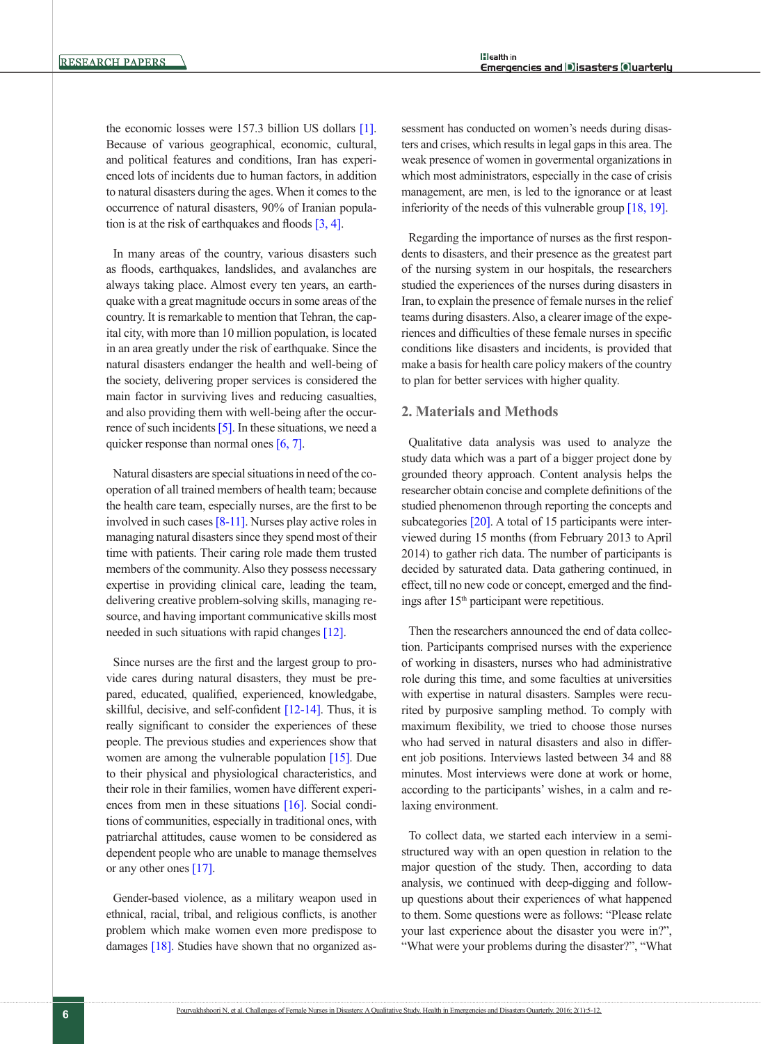the economic losses were 157.3 billion US dollars [\[1\]](#page-7-0). Because of various geographical, economic, cultural, and political features and conditions, Iran has experienced lots of incidents due to human factors, in addition to natural disasters during the ages. When it comes to the occurrence of natural disasters, 90% of Iranian population is at the risk of earthquakes and floods [\[3,](#page-7-2) [4\]](#page-7-3).

In many areas of the country, various disasters such as floods, earthquakes, landslides, and avalanches are always taking place. Almost every ten years, an earthquake with a great magnitude occurs in some areas of the country. It is remarkable to mention that Tehran, the capital city, with more than 10 million population, is located in an area greatly under the risk of earthquake. Since the natural disasters endanger the health and well-being of the society, delivering proper services is considered the main factor in surviving lives and reducing casualties, and also providing them with well-being after the occur-rence of such incidents [\[5\].](#page-7-4) In these situations, we need a quicker response than normal ones [\[6,](#page-7-0) [7\]](#page-7-5).

Natural disasters are special situations in need of the cooperation of all trained members of health team; because the health care team, especially nurses, are the first to be involved in such cases [\[8-11\]](#page-7-6). Nurses play active roles in managing natural disasters since they spend most of their time with patients. Their caring role made them trusted members of the community. Also they possess necessary expertise in providing clinical care, leading the team, delivering creative problem-solving skills, managing resource, and having important communicative skills most needed in such situations with rapid changes [\[12\]](#page-7-7).

Since nurses are the first and the largest group to provide cares during natural disasters, they must be prepared, educated, qualified, experienced, knowledgabe, skillful, decisive, and self-confident  $[12-14]$ . Thus, it is really significant to consider the experiences of these people. The previous studies and experiences show that women are among the vulnerable population [\[15\]](#page-7-8). Due to their physical and physiological characteristics, and their role in their families, women have different experi-ences from men in these situations [\[16\].](#page-7-9) Social conditions of communities, especially in traditional ones, with patriarchal attitudes, cause women to be considered as dependent people who are unable to manage themselves or any other ones [\[17\]](#page-7-10).

Gender-based violence, as a military weapon used in ethnical, racial, tribal, and religious conflicts, is another problem which make women even more predispose to damages [18]. Studies have shown that no organized assessment has conducted on women's needs during disasters and crises, which results in legal gaps in this area. The weak presence of women in govermental organizations in which most administrators, especially in the case of crisis management, are men, is led to the ignorance or at least inferiority of the needs of this vulnerable group [18, [19\]](#page-7-11).

Regarding the importance of nurses as the first respondents to disasters, and their presence as the greatest part of the nursing system in our hospitals, the researchers studied the experiences of the nurses during disasters in Iran, to explain the presence of female nurses in the relief teams during disasters. Also, a clearer image of the experiences and difficulties of these female nurses in specific conditions like disasters and incidents, is provided that make a basis for health care policy makers of the country to plan for better services with higher quality.

## **2. Materials and Methods**

Qualitative data analysis was used to analyze the study data which was a part of a bigger project done by grounded theory approach. Content analysis helps the researcher obtain concise and complete definitions of the studied phenomenon through reporting the concepts and subcategories [20]. A total of 15 participants were interviewed during 15 months (from February 2013 to April 2014) to gather rich data. The number of participants is decided by saturated data. Data gathering continued, in effect, till no new code or concept, emerged and the findings after 15th participant were repetitious.

Then the researchers announced the end of data collection. Participants comprised nurses with the experience of working in disasters, nurses who had administrative role during this time, and some faculties at universities with expertise in natural disasters. Samples were recurited by purposive sampling method. To comply with maximum flexibility, we tried to choose those nurses who had served in natural disasters and also in different job positions. Interviews lasted between 34 and 88 minutes. Most interviews were done at work or home, according to the participants' wishes, in a calm and relaxing environment.

To collect data, we started each interview in a semistructured way with an open question in relation to the major question of the study. Then, according to data analysis, we continued with deep-digging and followup questions about their experiences of what happened to them. Some questions were as follows: "Please relate your last experience about the disaster you were in?", "What were your problems during the disaster?", "What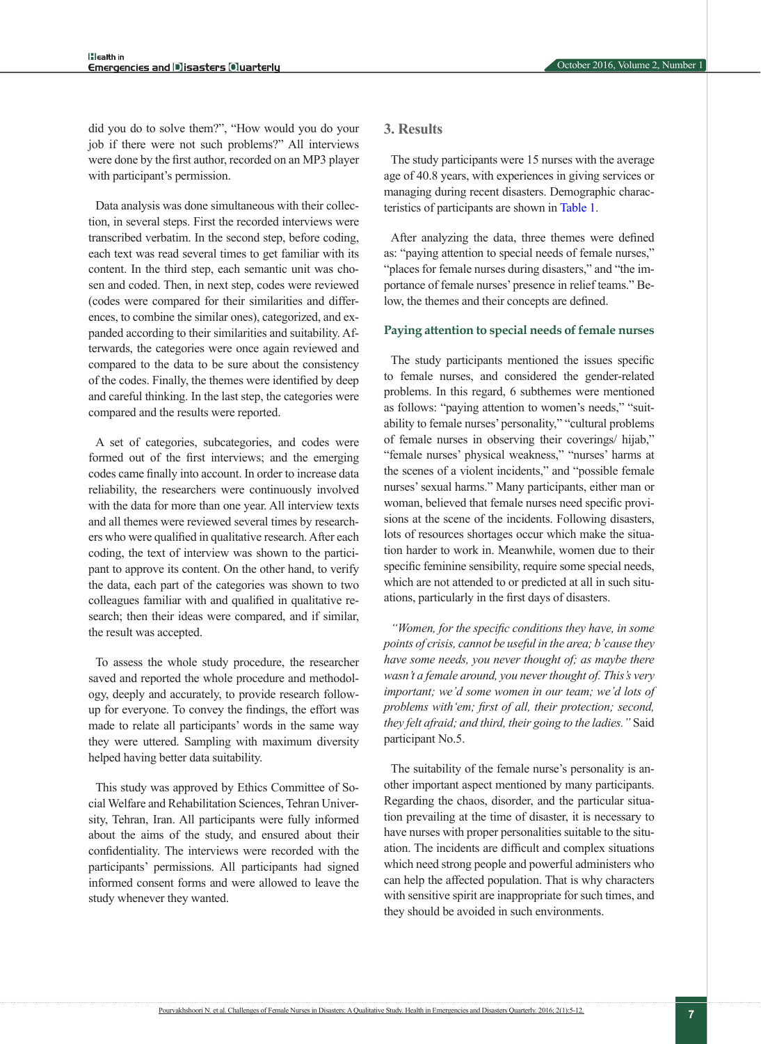October 2016, Volume 2, Number 1

did you do to solve them?", "How would you do your job if there were not such problems?" All interviews were done by the first author, recorded on an MP3 player with participant's permission.

Data analysis was done simultaneous with their collection, in several steps. First the recorded interviews were transcribed verbatim. In the second step, before coding, each text was read several times to get familiar with its content. In the third step, each semantic unit was chosen and coded. Then, in next step, codes were reviewed (codes were compared for their similarities and differences, to combine the similar ones), categorized, and expanded according to their similarities and suitability. Afterwards, the categories were once again reviewed and compared to the data to be sure about the consistency of the codes. Finally, the themes were identified by deep and careful thinking. In the last step, the categories were compared and the results were reported.

A set of categories, subcategories, and codes were formed out of the first interviews; and the emerging codes came finally into account. In order to increase data reliability, the researchers were continuously involved with the data for more than one year. All interview texts and all themes were reviewed several times by researchers who were qualified in qualitative research. After each coding, the text of interview was shown to the participant to approve its content. On the other hand, to verify the data, each part of the categories was shown to two colleagues familiar with and qualified in qualitative research; then their ideas were compared, and if similar, the result was accepted.

To assess the whole study procedure, the researcher saved and reported the whole procedure and methodology, deeply and accurately, to provide research followup for everyone. To convey the findings, the effort was made to relate all participants' words in the same way they were uttered. Sampling with maximum diversity helped having better data suitability.

This study was approved by Ethics Committee of Social Welfare and Rehabilitation Sciences, Tehran University, Tehran, Iran. All participants were fully informed about the aims of the study, and ensured about their confidentiality. The interviews were recorded with the participants' permissions. All participants had signed informed consent forms and were allowed to leave the study whenever they wanted.

## **3. Results**

The study participants were 15 nurses with the average age of 40.8 years, with experiences in giving services or managing during recent disasters. Demographic characteristics of participants are shown in [Table 1](#page-3-0).

After analyzing the data, three themes were defined as: "paying attention to special needs of female nurses," "places for female nurses during disasters," and "the importance of female nurses' presence in relief teams." Below, the themes and their concepts are defined.

#### **Paying attention to special needs of female nurses**

The study participants mentioned the issues specific to female nurses, and considered the gender-related problems. In this regard, 6 subthemes were mentioned as follows: "paying attention to women's needs," "suitability to female nurses' personality," "cultural problems of female nurses in observing their coverings/ hijab," "female nurses' physical weakness," "nurses' harms at the scenes of a violent incidents," and "possible female nurses' sexual harms." Many participants, either man or woman, believed that female nurses need specific provisions at the scene of the incidents. Following disasters, lots of resources shortages occur which make the situation harder to work in. Meanwhile, women due to their specific feminine sensibility, require some special needs, which are not attended to or predicted at all in such situations, particularly in the first days of disasters.

*"Women, for the specific conditions they have, in some points of crisis, cannot be useful in the area; b'cause they have some needs, you never thought of; as maybe there wasn't a female around, you never thought of. This's very important; we'd some women in our team; we'd lots of problems with'em; first of all, their protection; second, they felt afraid; and third, their going to the ladies."* Said participant No.5.

The suitability of the female nurse's personality is another important aspect mentioned by many participants. Regarding the chaos, disorder, and the particular situation prevailing at the time of disaster, it is necessary to have nurses with proper personalities suitable to the situation. The incidents are difficult and complex situations which need strong people and powerful administers who can help the affected population. That is why characters with sensitive spirit are inappropriate for such times, and they should be avoided in such environments.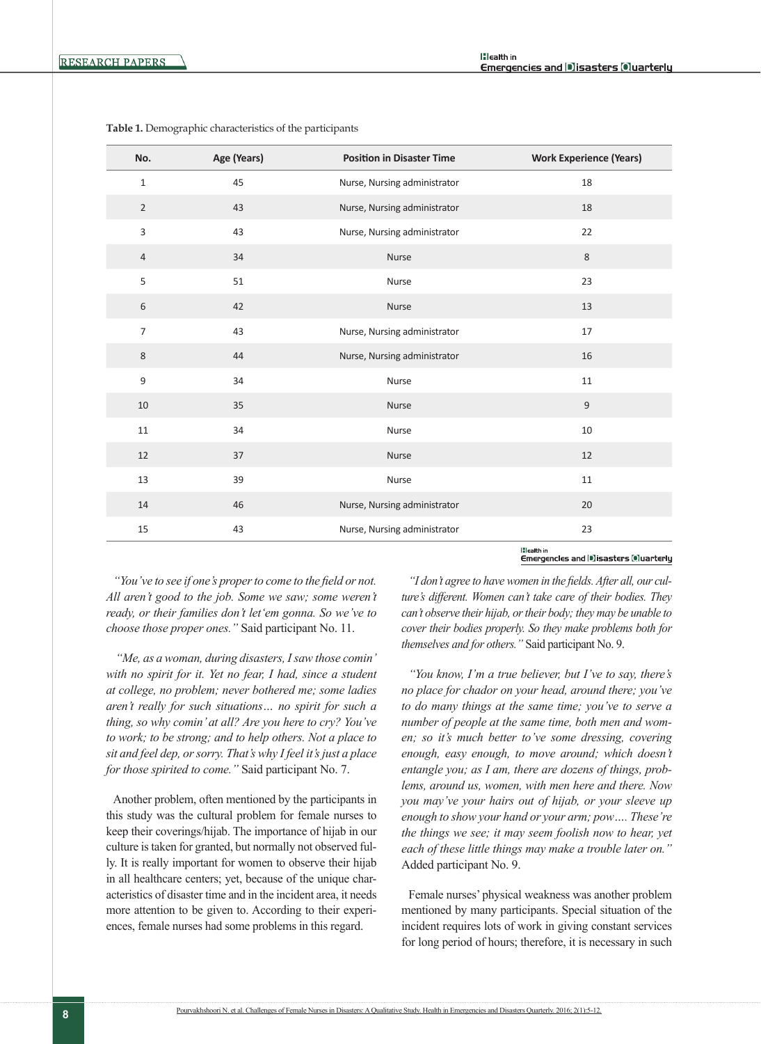| No.              | Age (Years) | <b>Position in Disaster Time</b> | <b>Work Experience (Years)</b> |
|------------------|-------------|----------------------------------|--------------------------------|
| $\mathbf{1}$     | 45          | Nurse, Nursing administrator     | 18                             |
| $\overline{2}$   | 43          | Nurse, Nursing administrator     | 18                             |
| 3                | 43          | Nurse, Nursing administrator     | 22                             |
| $\overline{4}$   | 34          | Nurse                            | $\,8\,$                        |
| 5                | 51          | Nurse                            | 23                             |
| 6                | 42          | <b>Nurse</b>                     | 13                             |
| $\overline{7}$   | 43          | Nurse, Nursing administrator     | 17                             |
| 8                | 44          | Nurse, Nursing administrator     | 16                             |
| $\boldsymbol{9}$ | 34          | Nurse                            | 11                             |
| 10               | 35          | <b>Nurse</b>                     | $\mathsf g$                    |
| $11\,$           | 34          | Nurse                            | 10                             |
| 12               | 37          | Nurse                            | 12                             |
| 13               | 39          | Nurse                            | 11                             |
| 14               | 46          | Nurse, Nursing administrator     | 20                             |
| 15               | 43          | Nurse, Nursing administrator     | 23<br><b>IBI contact to</b>    |

<span id="page-3-0"></span>**Table 1.** Demographic characteristics of the participants

lileathin<br>Emergencies and D]Isasters [Oluarterly

*"You've to see if one's proper to come to the field or not. All aren't good to the job. Some we saw; some weren't ready, or their families don't let'em gonna. So we've to choose those proper ones."* Said participant No. 11.

*"Me, as a woman, during disasters, I saw those comin' with no spirit for it. Yet no fear, I had, since a student at college, no problem; never bothered me; some ladies aren't really for such situations… no spirit for such a thing, so why comin' at all? Are you here to cry? You've to work; to be strong; and to help others. Not a place to sit and feel dep, or sorry. That's why I feel it's just a place for those spirited to come."* Said participant No. 7.

Another problem, often mentioned by the participants in this study was the cultural problem for female nurses to keep their coverings/hijab. The importance of hijab in our culture is taken for granted, but normally not observed fully. It is really important for women to observe their hijab in all healthcare centers; yet, because of the unique characteristics of disaster time and in the incident area, it needs more attention to be given to. According to their experiences, female nurses had some problems in this regard.

*"I don't agree to have women in the fields. After all, our culture's different. Women can't take care of their bodies. They can't observe their hijab, or their body; they may be unable to cover their bodies properly. So they make problems both for themselves and for others."* Said participant No. 9.

*"You know, I'm a true believer, but I've to say, there's no place for chador on your head, around there; you've to do many things at the same time; you've to serve a number of people at the same time, both men and women; so it's much better to've some dressing, covering enough, easy enough, to move around; which doesn't entangle you; as I am, there are dozens of things, problems, around us, women, with men here and there. Now you may've your hairs out of hijab, or your sleeve up enough to show your hand or your arm; pow…. These're the things we see; it may seem foolish now to hear, yet each of these little things may make a trouble later on."*  Added participant No. 9.

Female nurses' physical weakness was another problem mentioned by many participants. Special situation of the incident requires lots of work in giving constant services for long period of hours; therefore, it is necessary in such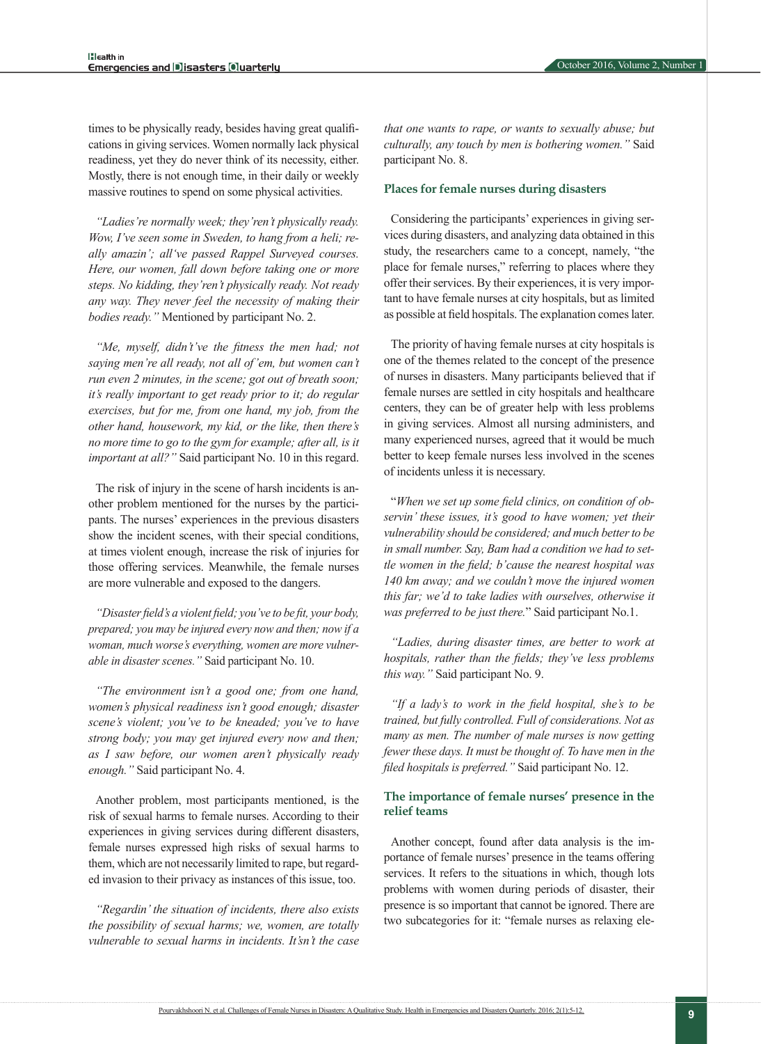times to be physically ready, besides having great qualifications in giving services. Women normally lack physical readiness, yet they do never think of its necessity, either. Mostly, there is not enough time, in their daily or weekly massive routines to spend on some physical activities.

*"Ladies're normally week; they'ren't physically ready. Wow, I've seen some in Sweden, to hang from a heli; really amazin'; all've passed Rappel Surveyed courses. Here, our women, fall down before taking one or more steps. No kidding, they'ren't physically ready. Not ready any way. They never feel the necessity of making their bodies ready."* Mentioned by participant No. 2.

*"Me, myself, didn't've the fitness the men had; not saying men're all ready, not all of'em, but women can't run even 2 minutes, in the scene; got out of breath soon; it's really important to get ready prior to it; do regular exercises, but for me, from one hand, my job, from the other hand, housework, my kid, or the like, then there's no more time to go to the gym for example; after all, is it important at all?"* Said participant No. 10 in this regard.

The risk of injury in the scene of harsh incidents is another problem mentioned for the nurses by the participants. The nurses' experiences in the previous disasters show the incident scenes, with their special conditions, at times violent enough, increase the risk of injuries for those offering services. Meanwhile, the female nurses are more vulnerable and exposed to the dangers.

*"Disaster field's a violent field; you've to be fit, your body, prepared; you may be injured every now and then; now if a woman, much worse's everything, women are more vulnerable in disaster scenes."* Said participant No. 10.

*"The environment isn't a good one; from one hand, women's physical readiness isn't good enough; disaster scene's violent; you've to be kneaded; you've to have strong body; you may get injured every now and then; as I saw before, our women aren't physically ready enough."* Said participant No. 4.

Another problem, most participants mentioned, is the risk of sexual harms to female nurses. According to their experiences in giving services during different disasters, female nurses expressed high risks of sexual harms to them, which are not necessarily limited to rape, but regarded invasion to their privacy as instances of this issue, too.

*"Regardin' the situation of incidents, there also exists the possibility of sexual harms; we, women, are totally vulnerable to sexual harms in incidents. It'sn't the case* 

*that one wants to rape, or wants to sexually abuse; but culturally, any touch by men is bothering women."* Said participant No. 8.

#### **Places for female nurses during disasters**

Considering the participants' experiences in giving services during disasters, and analyzing data obtained in this study, the researchers came to a concept, namely, "the place for female nurses," referring to places where they offer their services. By their experiences, it is very important to have female nurses at city hospitals, but as limited as possible at field hospitals. The explanation comes later.

The priority of having female nurses at city hospitals is one of the themes related to the concept of the presence of nurses in disasters. Many participants believed that if female nurses are settled in city hospitals and healthcare centers, they can be of greater help with less problems in giving services. Almost all nursing administers, and many experienced nurses, agreed that it would be much better to keep female nurses less involved in the scenes of incidents unless it is necessary.

"*When we set up some field clinics, on condition of observin' these issues, it's good to have women; yet their vulnerability should be considered; and much better to be in small number. Say, Bam had a condition we had to settle women in the field; b'cause the nearest hospital was 140 km away; and we couldn't move the injured women this far; we'd to take ladies with ourselves, otherwise it was preferred to be just there.*" Said participant No.1.

*"Ladies, during disaster times, are better to work at hospitals, rather than the fields; they've less problems this way."* Said participant No. 9.

*"If a lady's to work in the field hospital, she's to be trained, but fully controlled. Full of considerations. Not as many as men. The number of male nurses is now getting fewer these days. It must be thought of. To have men in the filed hospitals is preferred."* Said participant No. 12.

#### **The importance of female nurses' presence in the relief teams**

Another concept, found after data analysis is the importance of female nurses' presence in the teams offering services. It refers to the situations in which, though lots problems with women during periods of disaster, their presence is so important that cannot be ignored. There are two subcategories for it: "female nurses as relaxing ele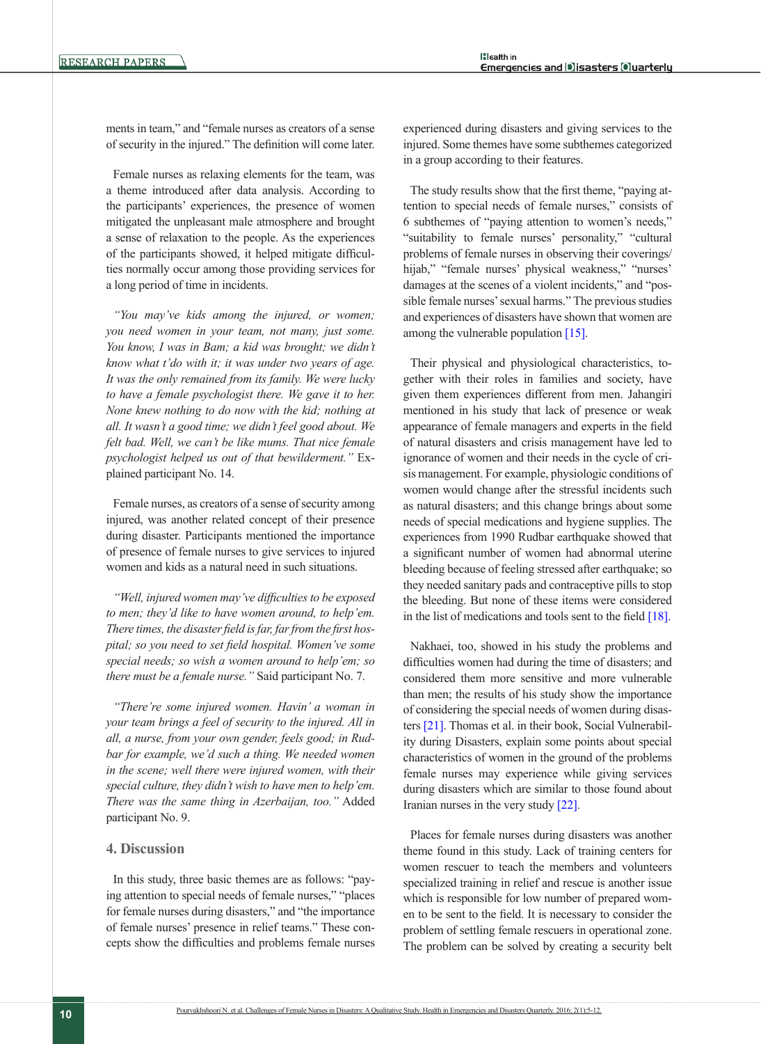ments in team," and "female nurses as creators of a sense of security in the injured." The definition will come later.

Female nurses as relaxing elements for the team, was a theme introduced after data analysis. According to the participants' experiences, the presence of women mitigated the unpleasant male atmosphere and brought a sense of relaxation to the people. As the experiences of the participants showed, it helped mitigate difficulties normally occur among those providing services for a long period of time in incidents.

*"You may've kids among the injured, or women; you need women in your team, not many, just some. You know, I was in Bam; a kid was brought; we didn't know what t'do with it; it was under two years of age. It was the only remained from its family. We were lucky to have a female psychologist there. We gave it to her. None knew nothing to do now with the kid; nothing at all. It wasn't a good time; we didn't feel good about. We felt bad. Well, we can't be like mums. That nice female psychologist helped us out of that bewilderment."* Explained participant No. 14.

Female nurses, as creators of a sense of security among injured, was another related concept of their presence during disaster. Participants mentioned the importance of presence of female nurses to give services to injured women and kids as a natural need in such situations.

*"Well, injured women may've difficulties to be exposed to men; they'd like to have women around, to help'em. There times, the disaster field is far, far from the first hospital; so you need to set field hospital. Women've some special needs; so wish a women around to help'em; so there must be a female nurse."* Said participant No. 7.

*"There're some injured women. Havin' a woman in your team brings a feel of security to the injured. All in all, a nurse, from your own gender, feels good; in Rudbar for example, we'd such a thing. We needed women in the scene; well there were injured women, with their special culture, they didn't wish to have men to help'em. There was the same thing in Azerbaijan, too."* Added participant No. 9.

#### **4. Discussion**

In this study, three basic themes are as follows: "paying attention to special needs of female nurses," "places for female nurses during disasters," and "the importance of female nurses' presence in relief teams." These concepts show the difficulties and problems female nurses

experienced during disasters and giving services to the injured. Some themes have some subthemes categorized in a group according to their features.

The study results show that the first theme, "paying attention to special needs of female nurses," consists of 6 subthemes of "paying attention to women's needs," "suitability to female nurses' personality," "cultural problems of female nurses in observing their coverings/ hijab," "female nurses' physical weakness," "nurses' damages at the scenes of a violent incidents," and "possible female nurses' sexual harms." The previous studies and experiences of disasters have shown that women are among the vulnerable population [\[15\].](#page-7-8)

Their physical and physiological characteristics, together with their roles in families and society, have given them experiences different from men. Jahangiri mentioned in his study that lack of presence or weak appearance of female managers and experts in the field of natural disasters and crisis management have led to ignorance of women and their needs in the cycle of crisis management. For example, physiologic conditions of women would change after the stressful incidents such as natural disasters; and this change brings about some needs of special medications and hygiene supplies. The experiences from 1990 Rudbar earthquake showed that a significant number of women had abnormal uterine bleeding because of feeling stressed after earthquake; so they needed sanitary pads and contraceptive pills to stop the bleeding. But none of these items were considered in the list of medications and tools sent to the field [18].

Nakhaei, too, showed in his study the problems and difficulties women had during the time of disasters; and considered them more sensitive and more vulnerable than men; the results of his study show the importance of considering the special needs of women during disasters [\[21\]](#page-7-12). Thomas et al. in their book, Social Vulnerability during Disasters, explain some points about special characteristics of women in the ground of the problems female nurses may experience while giving services during disasters which are similar to those found about Iranian nurses in the very study [\[22\].](#page-7-13)

Places for female nurses during disasters was another theme found in this study. Lack of training centers for women rescuer to teach the members and volunteers specialized training in relief and rescue is another issue which is responsible for low number of prepared women to be sent to the field. It is necessary to consider the problem of settling female rescuers in operational zone. The problem can be solved by creating a security belt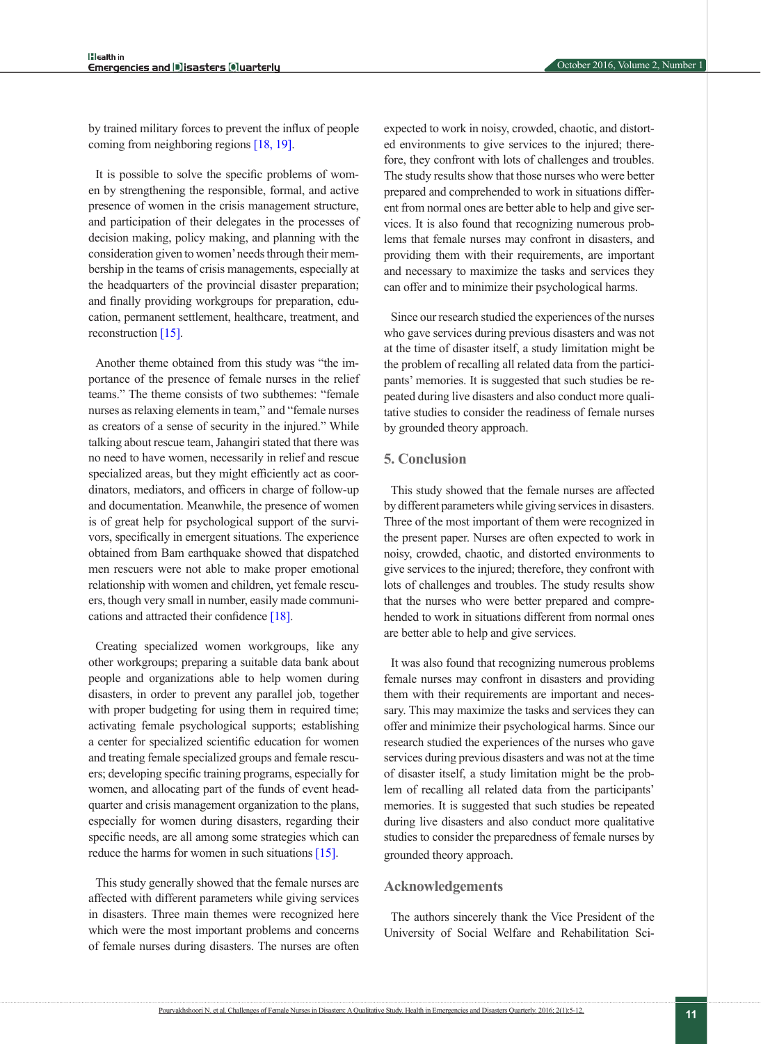by trained military forces to prevent the influx of people coming from neighboring regions [18, [19\].](#page-7-11)

It is possible to solve the specific problems of women by strengthening the responsible, formal, and active presence of women in the crisis management structure, and participation of their delegates in the processes of decision making, policy making, and planning with the consideration given to women' needs through their membership in the teams of crisis managements, especially at the headquarters of the provincial disaster preparation; and finally providing workgroups for preparation, education, permanent settlement, healthcare, treatment, and reconstruction [\[15\]](#page-7-8).

Another theme obtained from this study was "the importance of the presence of female nurses in the relief teams." The theme consists of two subthemes: "female nurses as relaxing elements in team," and "female nurses as creators of a sense of security in the injured." While talking about rescue team, Jahangiri stated that there was no need to have women, necessarily in relief and rescue specialized areas, but they might efficiently act as coordinators, mediators, and officers in charge of follow-up and documentation. Meanwhile, the presence of women is of great help for psychological support of the survivors, specifically in emergent situations. The experience obtained from Bam earthquake showed that dispatched men rescuers were not able to make proper emotional relationship with women and children, yet female rescuers, though very small in number, easily made communications and attracted their confidence [18].

Creating specialized women workgroups, like any other workgroups; preparing a suitable data bank about people and organizations able to help women during disasters, in order to prevent any parallel job, together with proper budgeting for using them in required time; activating female psychological supports; establishing a center for specialized scientific education for women and treating female specialized groups and female rescuers; developing specific training programs, especially for women, and allocating part of the funds of event headquarter and crisis management organization to the plans, especially for women during disasters, regarding their specific needs, are all among some strategies which can reduce the harms for women in such situations [\[15\].](#page-7-8)

This study generally showed that the female nurses are affected with different parameters while giving services in disasters. Three main themes were recognized here which were the most important problems and concerns of female nurses during disasters. The nurses are often

expected to work in noisy, crowded, chaotic, and distorted environments to give services to the injured; therefore, they confront with lots of challenges and troubles. The study results show that those nurses who were better prepared and comprehended to work in situations different from normal ones are better able to help and give services. It is also found that recognizing numerous problems that female nurses may confront in disasters, and providing them with their requirements, are important and necessary to maximize the tasks and services they can offer and to minimize their psychological harms.

Since our research studied the experiences of the nurses who gave services during previous disasters and was not at the time of disaster itself, a study limitation might be the problem of recalling all related data from the participants' memories. It is suggested that such studies be repeated during live disasters and also conduct more qualitative studies to consider the readiness of female nurses by grounded theory approach.

#### **5. Conclusion**

This study showed that the female nurses are affected by different parameters while giving services in disasters. Three of the most important of them were recognized in the present paper. Nurses are often expected to work in noisy, crowded, chaotic, and distorted environments to give services to the injured; therefore, they confront with lots of challenges and troubles. The study results show that the nurses who were better prepared and comprehended to work in situations different from normal ones are better able to help and give services.

It was also found that recognizing numerous problems female nurses may confront in disasters and providing them with their requirements are important and necessary. This may maximize the tasks and services they can offer and minimize their psychological harms. Since our research studied the experiences of the nurses who gave services during previous disasters and was not at the time of disaster itself, a study limitation might be the problem of recalling all related data from the participants' memories. It is suggested that such studies be repeated during live disasters and also conduct more qualitative studies to consider the preparedness of female nurses by grounded theory approach.

#### **Acknowledgements**

The authors sincerely thank the Vice President of the University of Social Welfare and Rehabilitation Sci